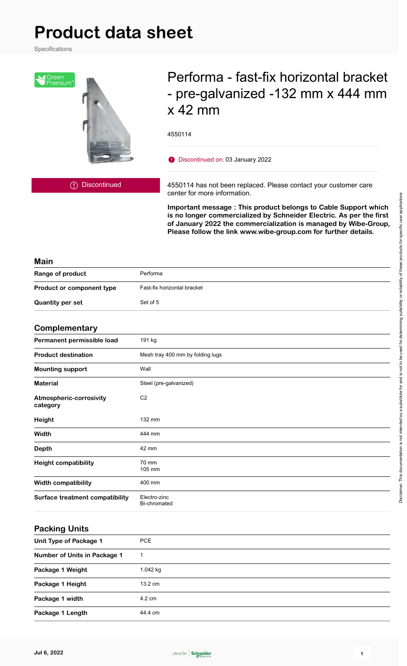# **Product data sheet**

Specifications



# Performa - fast-fix horizontal bracket - pre-galvanized -132 mm x 444 mm x 42 mm

4550114

Discontinued on: 03 January 2022

Discontinued

4550114 has not been replaced. Please contact your customer care center for more information.

**Important message : This product belongs to Cable Support which is no longer commercialized by Schneider Electric. As per the first of January 2022 the commercialization is managed by Wibe-Group, Please follow the link www.wibe-group.com for further details.**

#### **Main**

| Range of product                 | Performa                    |
|----------------------------------|-----------------------------|
| <b>Product or component type</b> | Fast-fix horizontal bracket |
| <b>Quantity per set</b>          | Set of 5                    |

#### **Complementary**

| - - · · · · - · · · · - · · <i>- ·</i> · <i>.</i> |                                  |
|---------------------------------------------------|----------------------------------|
| Permanent permissible load                        | 191 kg                           |
| <b>Product destination</b>                        | Mesh tray 400 mm by folding lugs |
| <b>Mounting support</b>                           | Wall                             |
| <b>Material</b>                                   | Steel (pre-galvanized)           |
| Atmospheric-corrosivity<br>category               | C <sub>2</sub>                   |
| Height                                            | 132 mm                           |
| Width                                             | 444 mm                           |
| <b>Depth</b>                                      | 42 mm                            |
| <b>Height compatibility</b>                       | 70 mm<br>105 mm                  |
| <b>Width compatibility</b>                        | 400 mm                           |
| <b>Surface treatment compatibility</b>            | Electro-zinc<br>Bi-chromated     |

#### **Packing Units**

| Unit Type of Package 1       | <b>PCE</b> |
|------------------------------|------------|
| Number of Units in Package 1 |            |
| Package 1 Weight             | $1.042$ kg |
| Package 1 Height             | 13.2 cm    |
| Package 1 width              | 4.2 cm     |
| Package 1 Length             | 44.4 cm    |